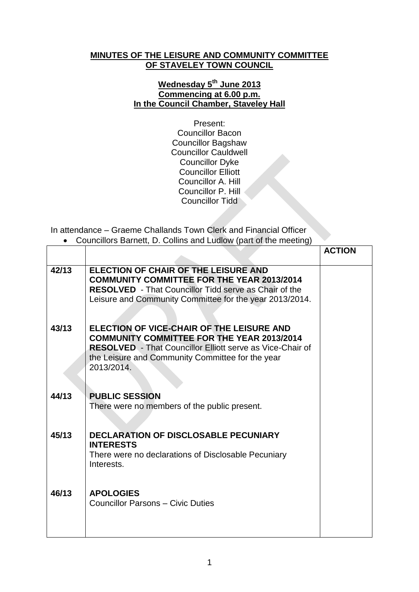## **MINUTES OF THE LEISURE AND COMMUNITY COMMITTEE OF STAVELEY TOWN COUNCIL**

## **Wednesday 5 th June 2013 Commencing at 6.00 p.m. In the Council Chamber, Staveley Hall**

Present: Councillor Bacon Councillor Bagshaw Councillor Cauldwell Councillor Dyke Councillor Elliott Councillor A. Hill Councillor P. Hill Councillor Tidd

In attendance – Graeme Challands Town Clerk and Financial Officer Councillors Barnett, D. Collins and Ludlow (part of the meeting)

|       |                                                                                                                                                                                                                                      | <b>ACTION</b> |
|-------|--------------------------------------------------------------------------------------------------------------------------------------------------------------------------------------------------------------------------------------|---------------|
| 42/13 | ELECTION OF CHAIR OF THE LEISURE AND<br><b>COMMUNITY COMMITTEE FOR THE YEAR 2013/2014</b><br><b>RESOLVED</b> - That Councillor Tidd serve as Chair of the<br>Leisure and Community Committee for the year 2013/2014.                 |               |
| 43/13 | ELECTION OF VICE-CHAIR OF THE LEISURE AND<br><b>COMMUNITY COMMITTEE FOR THE YEAR 2013/2014</b><br><b>RESOLVED</b> - That Councillor Elliott serve as Vice-Chair of<br>the Leisure and Community Committee for the year<br>2013/2014. |               |
| 44/13 | <b>PUBLIC SESSION</b><br>There were no members of the public present.                                                                                                                                                                |               |
| 45/13 | <b>DECLARATION OF DISCLOSABLE PECUNIARY</b><br><b>INTERESTS</b><br>There were no declarations of Disclosable Pecuniary<br>Interests.                                                                                                 |               |
| 46/13 | <b>APOLOGIES</b><br><b>Councillor Parsons - Civic Duties</b>                                                                                                                                                                         |               |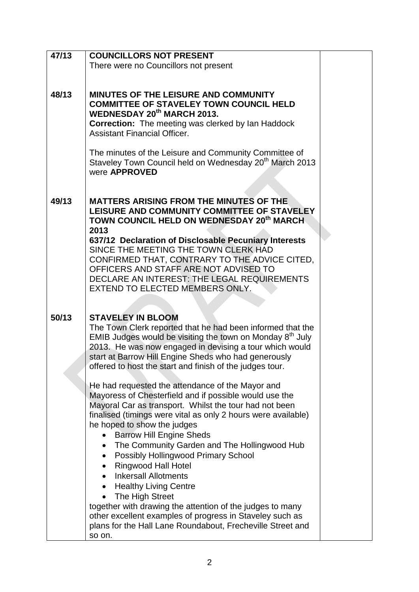| 47/13 | <b>COUNCILLORS NOT PRESENT</b>                                      |  |
|-------|---------------------------------------------------------------------|--|
|       | There were no Councillors not present                               |  |
|       |                                                                     |  |
|       |                                                                     |  |
| 48/13 | <b>MINUTES OF THE LEISURE AND COMMUNITY</b>                         |  |
|       | <b>COMMITTEE OF STAVELEY TOWN COUNCIL HELD</b>                      |  |
|       | <b>WEDNESDAY 20th MARCH 2013.</b>                                   |  |
|       | <b>Correction:</b> The meeting was clerked by Ian Haddock           |  |
|       | <b>Assistant Financial Officer.</b>                                 |  |
|       |                                                                     |  |
|       | The minutes of the Leisure and Community Committee of               |  |
|       | Staveley Town Council held on Wednesday 20 <sup>th</sup> March 2013 |  |
|       | were <b>APPROVED</b>                                                |  |
|       |                                                                     |  |
|       |                                                                     |  |
| 49/13 | <b>MATTERS ARISING FROM THE MINUTES OF THE</b>                      |  |
|       | LEISURE AND COMMUNITY COMMITTEE OF STAVELEY                         |  |
|       | TOWN COUNCIL HELD ON WEDNESDAY 20 <sup>th</sup> MARCH               |  |
|       | 2013                                                                |  |
|       | 637/12 Declaration of Disclosable Pecuniary Interests               |  |
|       | SINCE THE MEETING THE TOWN CLERK HAD                                |  |
|       | CONFIRMED THAT, CONTRARY TO THE ADVICE CITED,                       |  |
|       | OFFICERS AND STAFF ARE NOT ADVISED TO                               |  |
|       | DECLARE AN INTEREST: THE LEGAL REQUIREMENTS                         |  |
|       | EXTEND TO ELECTED MEMBERS ONLY.                                     |  |
|       |                                                                     |  |
|       |                                                                     |  |
| 50/13 | <b>STAVELEY IN BLOOM</b>                                            |  |
|       | The Town Clerk reported that he had been informed that the          |  |
|       | EMIB Judges would be visiting the town on Monday $8th$ July         |  |
|       | 2013. He was now engaged in devising a tour which would             |  |
|       | start at Barrow Hill Engine Sheds who had generously                |  |
|       | offered to host the start and finish of the judges tour.            |  |
|       |                                                                     |  |
|       | He had requested the attendance of the Mayor and                    |  |
|       | Mayoress of Chesterfield and if possible would use the              |  |
|       | Mayoral Car as transport. Whilst the tour had not been              |  |
|       | finalised (timings were vital as only 2 hours were available)       |  |
|       | he hoped to show the judges                                         |  |
|       | <b>Barrow Hill Engine Sheds</b><br>$\bullet$                        |  |
|       | The Community Garden and The Hollingwood Hub<br>$\bullet$           |  |
|       | Possibly Hollingwood Primary School                                 |  |
|       | <b>Ringwood Hall Hotel</b>                                          |  |
|       | <b>Inkersall Allotments</b>                                         |  |
|       | <b>Healthy Living Centre</b><br>$\bullet$                           |  |
|       | The High Street                                                     |  |
|       | together with drawing the attention of the judges to many           |  |
|       | other excellent examples of progress in Staveley such as            |  |
|       | plans for the Hall Lane Roundabout, Frecheville Street and          |  |
|       | so on.                                                              |  |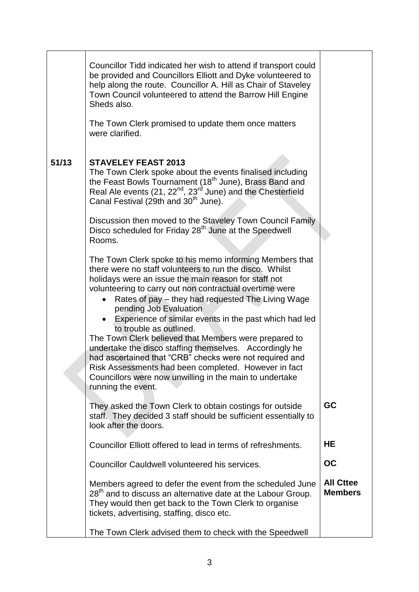|       | Councillor Tidd indicated her wish to attend if transport could<br>be provided and Councillors Elliott and Dyke volunteered to                                                                                                                                                                                                                                                                                                                                                                                                                                                                                                                                                                                                    |                                    |
|-------|-----------------------------------------------------------------------------------------------------------------------------------------------------------------------------------------------------------------------------------------------------------------------------------------------------------------------------------------------------------------------------------------------------------------------------------------------------------------------------------------------------------------------------------------------------------------------------------------------------------------------------------------------------------------------------------------------------------------------------------|------------------------------------|
|       | help along the route. Councillor A. Hill as Chair of Staveley<br>Town Council volunteered to attend the Barrow Hill Engine<br>Sheds also.                                                                                                                                                                                                                                                                                                                                                                                                                                                                                                                                                                                         |                                    |
|       | The Town Clerk promised to update them once matters<br>were clarified.                                                                                                                                                                                                                                                                                                                                                                                                                                                                                                                                                                                                                                                            |                                    |
| 51/13 | <b>STAVELEY FEAST 2013</b><br>The Town Clerk spoke about the events finalised including<br>the Feast Bowls Tournament (18 <sup>th</sup> June), Brass Band and<br>Real Ale events (21, 22 <sup>nd</sup> , 23 <sup>rd</sup> June) and the Chesterfield<br>Canal Festival (29th and 30 <sup>th</sup> June).                                                                                                                                                                                                                                                                                                                                                                                                                          |                                    |
|       | Discussion then moved to the Staveley Town Council Family<br>Disco scheduled for Friday 28 <sup>th</sup> June at the Speedwell<br>Rooms.                                                                                                                                                                                                                                                                                                                                                                                                                                                                                                                                                                                          |                                    |
|       | The Town Clerk spoke to his memo informing Members that<br>there were no staff volunteers to run the disco. Whilst<br>holidays were an issue the main reason for staff not<br>volunteering to carry out non contractual overtime were<br>Rates of pay – they had requested The Living Wage<br>pending Job Evaluation<br>Experience of similar events in the past which had led<br>to trouble as outlined.<br>The Town Clerk believed that Members were prepared to<br>undertake the disco staffing themselves. Accordingly he<br>had ascertained that "CRB" checks were not required and<br>Risk Assessments had been completed. However in fact<br>Councillors were now unwilling in the main to undertake<br>running the event. |                                    |
|       | They asked the Town Clerk to obtain costings for outside<br>staff. They decided 3 staff should be sufficient essentially to<br>look after the doors.                                                                                                                                                                                                                                                                                                                                                                                                                                                                                                                                                                              | <b>GC</b>                          |
|       | Councillor Elliott offered to lead in terms of refreshments.                                                                                                                                                                                                                                                                                                                                                                                                                                                                                                                                                                                                                                                                      | HE                                 |
|       | Councillor Cauldwell volunteered his services.                                                                                                                                                                                                                                                                                                                                                                                                                                                                                                                                                                                                                                                                                    | <b>OC</b>                          |
|       | Members agreed to defer the event from the scheduled June<br>$28th$ and to discuss an alternative date at the Labour Group.<br>They would then get back to the Town Clerk to organise<br>tickets, advertising, staffing, disco etc.                                                                                                                                                                                                                                                                                                                                                                                                                                                                                               | <b>All Cttee</b><br><b>Members</b> |
|       | The Town Clerk advised them to check with the Speedwell                                                                                                                                                                                                                                                                                                                                                                                                                                                                                                                                                                                                                                                                           |                                    |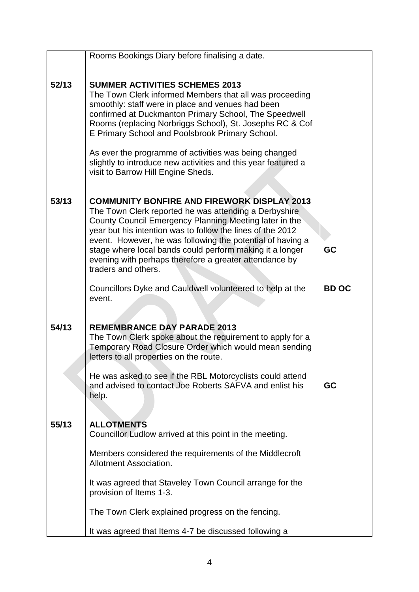|       | Rooms Bookings Diary before finalising a date.                                                                                                                                                                                                                                                                                                                                                                                                 |              |
|-------|------------------------------------------------------------------------------------------------------------------------------------------------------------------------------------------------------------------------------------------------------------------------------------------------------------------------------------------------------------------------------------------------------------------------------------------------|--------------|
| 52/13 | <b>SUMMER ACTIVITIES SCHEMES 2013</b><br>The Town Clerk informed Members that all was proceeding<br>smoothly: staff were in place and venues had been<br>confirmed at Duckmanton Primary School, The Speedwell<br>Rooms (replacing Norbriggs School), St. Josephs RC & Cof<br>E Primary School and Poolsbrook Primary School.                                                                                                                  |              |
|       | As ever the programme of activities was being changed<br>slightly to introduce new activities and this year featured a<br>visit to Barrow Hill Engine Sheds.                                                                                                                                                                                                                                                                                   |              |
| 53/13 | <b>COMMUNITY BONFIRE AND FIREWORK DISPLAY 2013</b><br>The Town Clerk reported he was attending a Derbyshire<br>County Council Emergency Planning Meeting later in the<br>year but his intention was to follow the lines of the 2012<br>event. However, he was following the potential of having a<br>stage where local bands could perform making it a longer<br>evening with perhaps therefore a greater attendance by<br>traders and others. | GC           |
|       | Councillors Dyke and Cauldwell volunteered to help at the<br>event.                                                                                                                                                                                                                                                                                                                                                                            | <b>BD OC</b> |
| 54/13 | <b>REMEMBRANCE DAY PARADE 2013</b><br>The Town Clerk spoke about the requirement to apply for a<br>Temporary Road Closure Order which would mean sending<br>letters to all properties on the route.                                                                                                                                                                                                                                            |              |
|       | He was asked to see if the RBL Motorcyclists could attend<br>and advised to contact Joe Roberts SAFVA and enlist his<br>help.                                                                                                                                                                                                                                                                                                                  | <b>GC</b>    |
| 55/13 | <b>ALLOTMENTS</b><br>Councillor Ludlow arrived at this point in the meeting.                                                                                                                                                                                                                                                                                                                                                                   |              |
|       | Members considered the requirements of the Middlecroft<br>Allotment Association.                                                                                                                                                                                                                                                                                                                                                               |              |
|       | It was agreed that Staveley Town Council arrange for the<br>provision of Items 1-3.                                                                                                                                                                                                                                                                                                                                                            |              |
|       | The Town Clerk explained progress on the fencing.                                                                                                                                                                                                                                                                                                                                                                                              |              |
|       | It was agreed that Items 4-7 be discussed following a                                                                                                                                                                                                                                                                                                                                                                                          |              |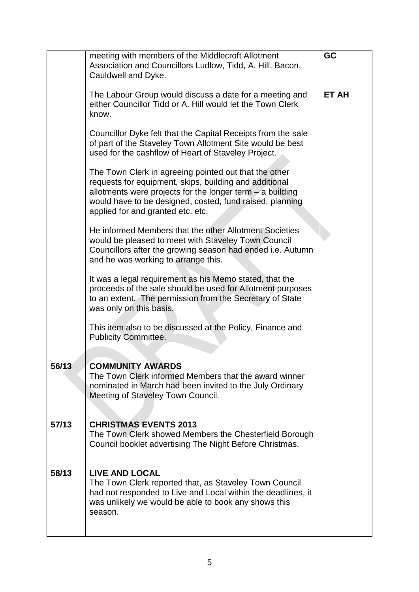|       | meeting with members of the Middlecroft Allotment<br>Association and Councillors Ludlow, Tidd, A. Hill, Bacon,<br>Cauldwell and Dyke.                                                                                                                                           | <b>GC</b>    |
|-------|---------------------------------------------------------------------------------------------------------------------------------------------------------------------------------------------------------------------------------------------------------------------------------|--------------|
|       | The Labour Group would discuss a date for a meeting and<br>either Councillor Tidd or A. Hill would let the Town Clerk<br>know.                                                                                                                                                  | <b>ET AH</b> |
|       | Councillor Dyke felt that the Capital Receipts from the sale<br>of part of the Staveley Town Allotment Site would be best<br>used for the cashflow of Heart of Staveley Project.                                                                                                |              |
|       | The Town Clerk in agreeing pointed out that the other<br>requests for equipment, skips, building and additional<br>allotments were projects for the longer term $-$ a building<br>would have to be designed, costed, fund raised, planning<br>applied for and granted etc. etc. |              |
|       | He informed Members that the other Allotment Societies<br>would be pleased to meet with Staveley Town Council<br>Councillors after the growing season had ended i.e. Autumn<br>and he was working to arrange this.                                                              |              |
|       | It was a legal requirement as his Memo stated, that the<br>proceeds of the sale should be used for Allotment purposes<br>to an extent. The permission from the Secretary of State<br>was only on this basis.                                                                    |              |
|       | This item also to be discussed at the Policy, Finance and<br><b>Publicity Committee.</b>                                                                                                                                                                                        |              |
| 56/13 | <b>COMMUNITY AWARDS</b><br>The Town Clerk informed Members that the award winner<br>nominated in March had been invited to the July Ordinary<br>Meeting of Staveley Town Council.                                                                                               |              |
| 57/13 | <b>CHRISTMAS EVENTS 2013</b><br>The Town Clerk showed Members the Chesterfield Borough<br>Council booklet advertising The Night Before Christmas.                                                                                                                               |              |
| 58/13 | <b>LIVE AND LOCAL</b><br>The Town Clerk reported that, as Staveley Town Council<br>had not responded to Live and Local within the deadlines, it<br>was unlikely we would be able to book any shows this<br>season.                                                              |              |